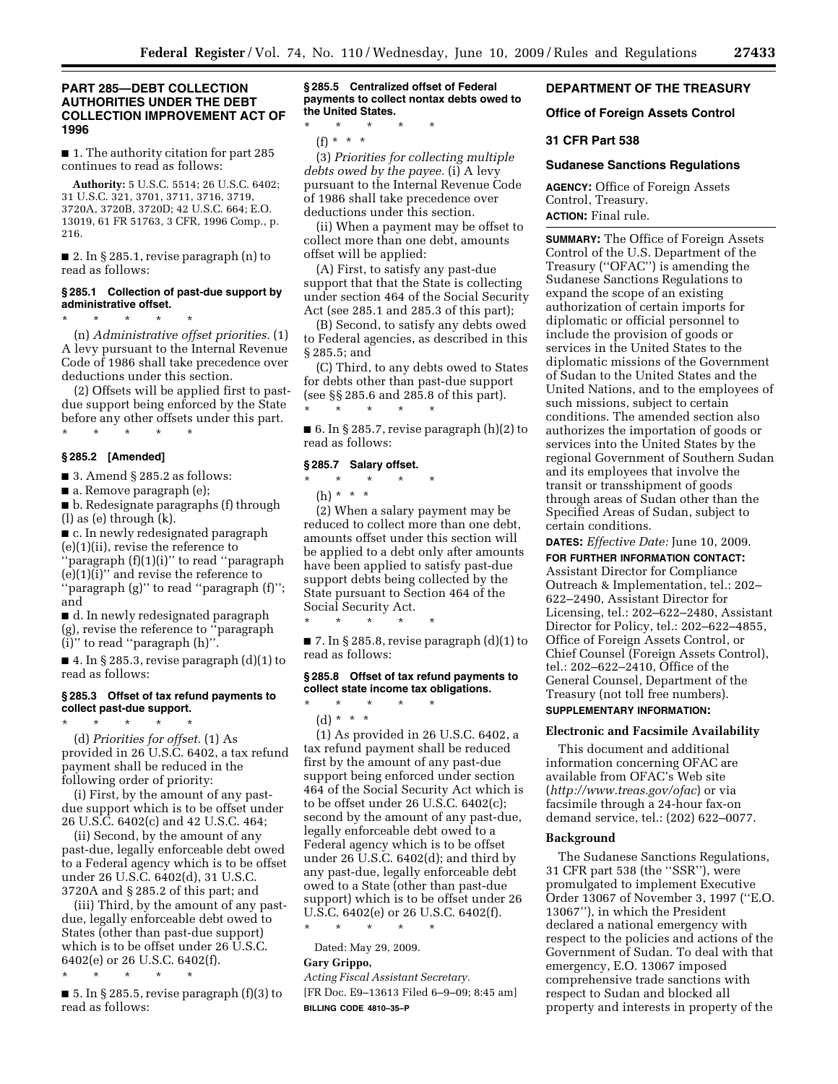## **PART 285—DEBT COLLECTION AUTHORITIES UNDER THE DEBT COLLECTION IMPROVEMENT ACT OF 1996**

■ 1. The authority citation for part 285 continues to read as follows:

**Authority:** 5 U.S.C. 5514; 26 U.S.C. 6402; 31 U.S.C. 321, 3701, 3711, 3716, 3719, 3720A, 3720B, 3720D; 42 U.S.C. 664; E.O. 13019, 61 FR 51763, 3 CFR, 1996 Comp., p. 216.

■ 2. In § 285.1, revise paragraph (n) to read as follows:

## **§ 285.1 Collection of past-due support by administrative offset.**

\* \* \* \* \*

(n) *Administrative offset priorities.* (1) A levy pursuant to the Internal Revenue Code of 1986 shall take precedence over deductions under this section.

(2) Offsets will be applied first to pastdue support being enforced by the State before any other offsets under this part. \* \* \* \* \*

#### **§ 285.2 [Amended]**

■ 3. Amend § 285.2 as follows:

■ a. Remove paragraph (e);

■ b. Redesignate paragraphs (f) through (l) as (e) through (k).

■ c. In newly redesignated paragraph (e)(1)(ii), revise the reference to ''paragraph (f)(1)(i)'' to read ''paragraph  $(e)(1)(i)$ " and revise the reference to ''paragraph (g)'' to read ''paragraph (f)''; and

■ d. In newly redesignated paragraph (g), revise the reference to ''paragraph (i)'' to read ''paragraph (h)''.

 $\blacksquare$  4. In § 285.3, revise paragraph  $(d)(1)$  to read as follows:

#### **§ 285.3 Offset of tax refund payments to collect past-due support.**

\* \* \* \* \* (d) *Priorities for offset.* (1) As provided in 26 U.S.C. 6402, a tax refund payment shall be reduced in the following order of priority:

(i) First, by the amount of any pastdue support which is to be offset under 26 U.S.C. 6402(c) and 42 U.S.C. 464;

(ii) Second, by the amount of any past-due, legally enforceable debt owed to a Federal agency which is to be offset under 26 U.S.C. 6402(d), 31 U.S.C. 3720A and § 285.2 of this part; and

(iii) Third, by the amount of any pastdue, legally enforceable debt owed to States (other than past-due support) which is to be offset under 26 U.S.C. 6402(e) or 26 U.S.C. 6402(f).

\* \* \* \* \*

■ 5. In § 285.5, revise paragraph  $(f)(3)$  to read as follows:

**§ 285.5 Centralized offset of Federal payments to collect nontax debts owed to the United States.** 

\* \* \* \* \*

 $(f) * * * *$ 

(3) *Priorities for collecting multiple debts owed by the payee.* (i) A levy pursuant to the Internal Revenue Code of 1986 shall take precedence over deductions under this section.

(ii) When a payment may be offset to collect more than one debt, amounts offset will be applied:

(A) First, to satisfy any past-due support that that the State is collecting under section 464 of the Social Security Act (see 285.1 and 285.3 of this part);

(B) Second, to satisfy any debts owed to Federal agencies, as described in this § 285.5; and

(C) Third, to any debts owed to States for debts other than past-due support (see §§ 285.6 and 285.8 of this part). \* \* \* \* \*

■ 6. In § 285.7, revise paragraph  $(h)(2)$  to read as follows:

### **§ 285.7 Salary offset.**

\* \* \* \* \* (h) \* \* \*

(2) When a salary payment may be reduced to collect more than one debt, amounts offset under this section will be applied to a debt only after amounts have been applied to satisfy past-due support debts being collected by the State pursuant to Section 464 of the Social Security Act.

\* \* \* \* \*

 $\blacksquare$  7. In § 285.8, revise paragraph  $(d)(1)$  to read as follows:

#### **§ 285.8 Offset of tax refund payments to collect state income tax obligations.**  \* \* \* \* \*

(d) \* \* \*

(1) As provided in 26 U.S.C. 6402, a tax refund payment shall be reduced first by the amount of any past-due support being enforced under section 464 of the Social Security Act which is to be offset under 26 U.S.C. 6402(c); second by the amount of any past-due, legally enforceable debt owed to a Federal agency which is to be offset under 26 U.S.C. 6402(d); and third by any past-due, legally enforceable debt owed to a State (other than past-due support) which is to be offset under 26 U.S.C. 6402(e) or 26 U.S.C. 6402(f).

\* \* \* \* \*

Dated: May 29, 2009.

# **Gary Grippo,**

*Acting Fiscal Assistant Secretary.*  [FR Doc. E9–13613 Filed 6–9–09; 8:45 am] **BILLING CODE 4810–35–P** 

# **DEPARTMENT OF THE TREASURY**

## **Office of Foreign Assets Control**

#### **31 CFR Part 538**

#### **Sudanese Sanctions Regulations**

**AGENCY:** Office of Foreign Assets Control, Treasury. **ACTION:** Final rule.

**SUMMARY:** The Office of Foreign Assets Control of the U.S. Department of the Treasury (''OFAC'') is amending the Sudanese Sanctions Regulations to expand the scope of an existing authorization of certain imports for diplomatic or official personnel to include the provision of goods or services in the United States to the diplomatic missions of the Government of Sudan to the United States and the United Nations, and to the employees of such missions, subject to certain conditions. The amended section also authorizes the importation of goods or services into the United States by the regional Government of Southern Sudan and its employees that involve the transit or transshipment of goods through areas of Sudan other than the Specified Areas of Sudan, subject to certain conditions.

# **DATES:** *Effective Date:* June 10, 2009.

**FOR FURTHER INFORMATION CONTACT:**  Assistant Director for Compliance Outreach & Implementation, tel.: 202– 622–2490, Assistant Director for Licensing, tel.: 202–622–2480, Assistant Director for Policy, tel.: 202–622–4855, Office of Foreign Assets Control, or Chief Counsel (Foreign Assets Control), tel.: 202–622–2410, Office of the General Counsel, Department of the Treasury (not toll free numbers). **SUPPLEMENTARY INFORMATION:** 

#### **Electronic and Facsimile Availability**

This document and additional information concerning OFAC are available from OFAC's Web site (*http://www.treas.gov/ofac*) or via facsimile through a 24-hour fax-on demand service, tel.: (202) 622–0077.

#### **Background**

The Sudanese Sanctions Regulations, 31 CFR part 538 (the ''SSR''), were promulgated to implement Executive Order 13067 of November 3, 1997 (''E.O. 13067''), in which the President declared a national emergency with respect to the policies and actions of the Government of Sudan. To deal with that emergency, E.O. 13067 imposed comprehensive trade sanctions with respect to Sudan and blocked all property and interests in property of the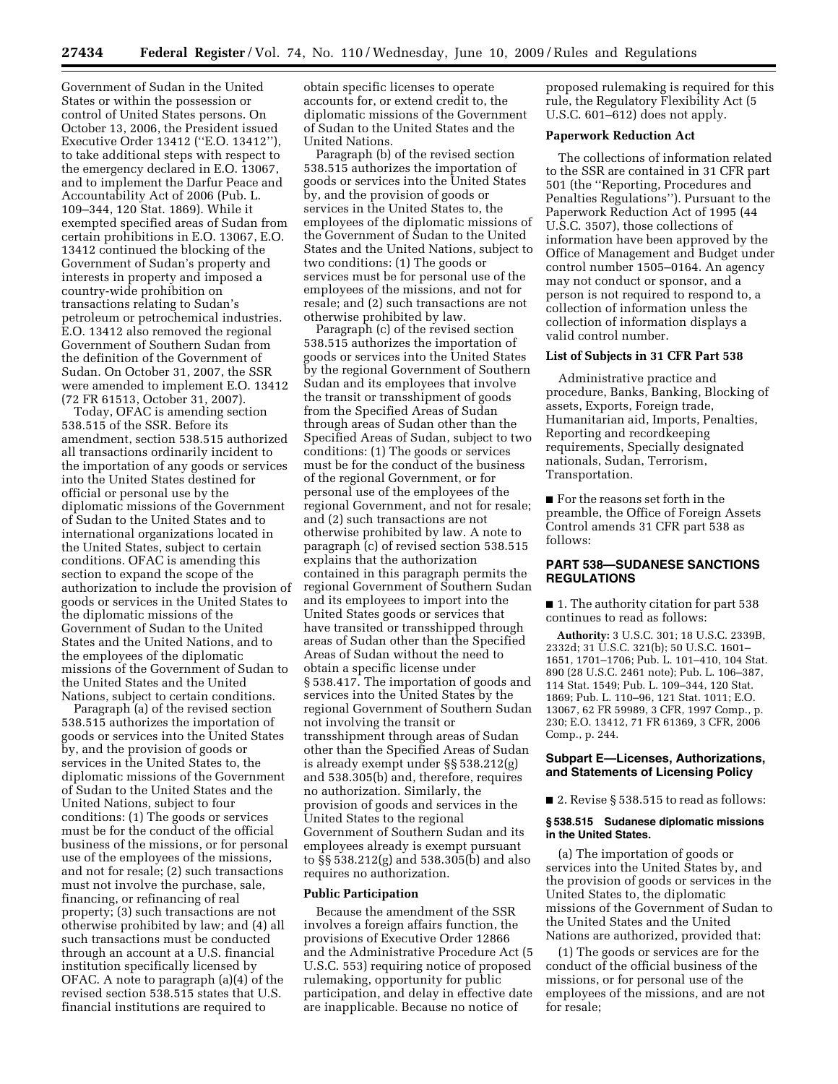Government of Sudan in the United States or within the possession or control of United States persons. On October 13, 2006, the President issued Executive Order 13412 (''E.O. 13412''), to take additional steps with respect to the emergency declared in E.O. 13067, and to implement the Darfur Peace and Accountability Act of 2006 (Pub. L. 109–344, 120 Stat. 1869). While it exempted specified areas of Sudan from certain prohibitions in E.O. 13067, E.O. 13412 continued the blocking of the Government of Sudan's property and interests in property and imposed a country-wide prohibition on transactions relating to Sudan's petroleum or petrochemical industries. E.O. 13412 also removed the regional Government of Southern Sudan from the definition of the Government of Sudan. On October 31, 2007, the SSR were amended to implement E.O. 13412 (72 FR 61513, October 31, 2007).

Today, OFAC is amending section 538.515 of the SSR. Before its amendment, section 538.515 authorized all transactions ordinarily incident to the importation of any goods or services into the United States destined for official or personal use by the diplomatic missions of the Government of Sudan to the United States and to international organizations located in the United States, subject to certain conditions. OFAC is amending this section to expand the scope of the authorization to include the provision of goods or services in the United States to the diplomatic missions of the Government of Sudan to the United States and the United Nations, and to the employees of the diplomatic missions of the Government of Sudan to the United States and the United Nations, subject to certain conditions.

Paragraph (a) of the revised section 538.515 authorizes the importation of goods or services into the United States by, and the provision of goods or services in the United States to, the diplomatic missions of the Government of Sudan to the United States and the United Nations, subject to four conditions: (1) The goods or services must be for the conduct of the official business of the missions, or for personal use of the employees of the missions, and not for resale; (2) such transactions must not involve the purchase, sale, financing, or refinancing of real property; (3) such transactions are not otherwise prohibited by law; and (4) all such transactions must be conducted through an account at a U.S. financial institution specifically licensed by OFAC. A note to paragraph (a)(4) of the revised section 538.515 states that U.S. financial institutions are required to

obtain specific licenses to operate accounts for, or extend credit to, the diplomatic missions of the Government of Sudan to the United States and the United Nations.

Paragraph (b) of the revised section 538.515 authorizes the importation of goods or services into the United States by, and the provision of goods or services in the United States to, the employees of the diplomatic missions of the Government of Sudan to the United States and the United Nations, subject to two conditions: (1) The goods or services must be for personal use of the employees of the missions, and not for resale; and (2) such transactions are not otherwise prohibited by law.

Paragraph (c) of the revised section 538.515 authorizes the importation of goods or services into the United States by the regional Government of Southern Sudan and its employees that involve the transit or transshipment of goods from the Specified Areas of Sudan through areas of Sudan other than the Specified Areas of Sudan, subject to two conditions: (1) The goods or services must be for the conduct of the business of the regional Government, or for personal use of the employees of the regional Government, and not for resale; and (2) such transactions are not otherwise prohibited by law. A note to paragraph (c) of revised section 538.515 explains that the authorization contained in this paragraph permits the regional Government of Southern Sudan and its employees to import into the United States goods or services that have transited or transshipped through areas of Sudan other than the Specified Areas of Sudan without the need to obtain a specific license under § 538.417. The importation of goods and services into the United States by the regional Government of Southern Sudan not involving the transit or transshipment through areas of Sudan other than the Specified Areas of Sudan is already exempt under §§ 538.212(g) and 538.305(b) and, therefore, requires no authorization. Similarly, the provision of goods and services in the United States to the regional Government of Southern Sudan and its employees already is exempt pursuant to §§ 538.212(g) and 538.305(b) and also requires no authorization.

#### **Public Participation**

Because the amendment of the SSR involves a foreign affairs function, the provisions of Executive Order 12866 and the Administrative Procedure Act (5 U.S.C. 553) requiring notice of proposed rulemaking, opportunity for public participation, and delay in effective date are inapplicable. Because no notice of

proposed rulemaking is required for this rule, the Regulatory Flexibility Act (5 U.S.C. 601–612) does not apply.

#### **Paperwork Reduction Act**

The collections of information related to the SSR are contained in 31 CFR part 501 (the ''Reporting, Procedures and Penalties Regulations''). Pursuant to the Paperwork Reduction Act of 1995 (44 U.S.C. 3507), those collections of information have been approved by the Office of Management and Budget under control number 1505–0164. An agency may not conduct or sponsor, and a person is not required to respond to, a collection of information unless the collection of information displays a valid control number.

#### **List of Subjects in 31 CFR Part 538**

Administrative practice and procedure, Banks, Banking, Blocking of assets, Exports, Foreign trade, Humanitarian aid, Imports, Penalties, Reporting and recordkeeping requirements, Specially designated nationals, Sudan, Terrorism, Transportation.

■ For the reasons set forth in the preamble, the Office of Foreign Assets Control amends 31 CFR part 538 as follows:

# **PART 538—SUDANESE SANCTIONS REGULATIONS**

■ 1. The authority citation for part 538 continues to read as follows:

**Authority:** 3 U.S.C. 301; 18 U.S.C. 2339B, 2332d; 31 U.S.C. 321(b); 50 U.S.C. 1601– 1651, 1701–1706; Pub. L. 101–410, 104 Stat. 890 (28 U.S.C. 2461 note); Pub. L. 106–387, 114 Stat. 1549; Pub. L. 109–344, 120 Stat. 1869; Pub. L. 110–96, 121 Stat. 1011; E.O. 13067, 62 FR 59989, 3 CFR, 1997 Comp., p. 230; E.O. 13412, 71 FR 61369, 3 CFR, 2006 Comp., p. 244.

## **Subpart E—Licenses, Authorizations, and Statements of Licensing Policy**

■ 2. Revise § 538.515 to read as follows:

#### **§ 538.515 Sudanese diplomatic missions in the United States.**

(a) The importation of goods or services into the United States by, and the provision of goods or services in the United States to, the diplomatic missions of the Government of Sudan to the United States and the United Nations are authorized, provided that:

(1) The goods or services are for the conduct of the official business of the missions, or for personal use of the employees of the missions, and are not for resale;